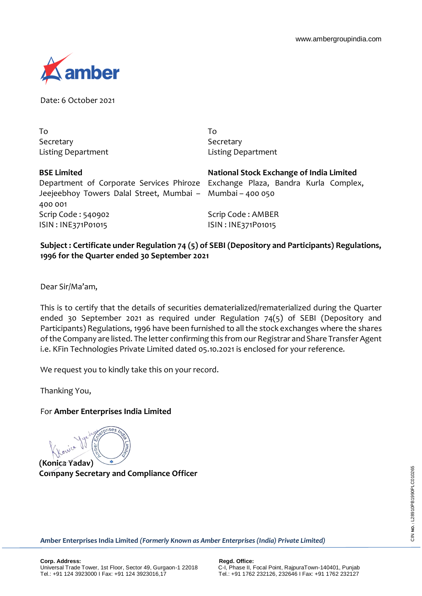

Date: 6 October 2021

To Secretary Listing Department

To Secretary Listing Department

**BSE Limited** Department of Corporate Services Phiroze Jeejeebhoy Towers Dalal Street, Mumbai – 400 001 Scrip Code : 540902 ISIN : INE371P01015

**National Stock Exchange of India Limited** Exchange Plaza, Bandra Kurla Complex, Mumbai – 400 050

Scrip Code : AMBER ISIN : INE371P01015

## **Subject : Certificate under Regulation 74 (5) of SEBI (Depository and Participants) Regulations, 1996 for the Quarter ended 30 September 2021**

Dear Sir/Ma'am,

This is to certify that the details of securities dematerialized/rematerialized during the Quarter ended 30 September 2021 as required under Regulation 74(5) of SEBI (Depository and Participants) Regulations, 1996 have been furnished to all the stock exchanges where the shares of the Company are listed. The letter confirming this from our Registrar and Share Transfer Agent i.e. KFin Technologies Private Limited dated 05.10.2021 is enclosed for your reference.

We request you to kindly take this on your record.

Thanking You,

## For **Amber Enterprises India Limited**

**(Konica Yadav)**

**Company Secretary and Compliance Officer**

**Amber Enterprises India Limited** *(Formerly Known as Amber Enterprises (India) Private Limited)*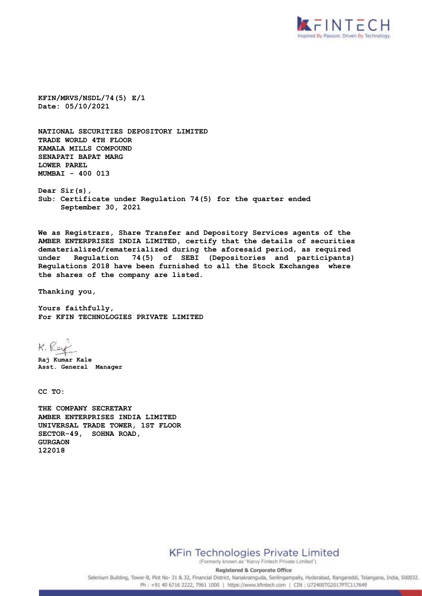

**KFIN/MRVS/NSDL/74(5) E/1 Date: 05/10/2021**

**NATIONAL SECURITIES DEPOSITORY LIMITED TRADE WORLD 4TH FLOOR KAMALA MILLS COMPOUND SENAPATI BAPAT MARG LOWER PAREL MUMBAI - 400 013**

**Dear Sir(s), Sub: Certificate under Regulation 74(5) for the quarter ended September 30, 2021**

**We as Registrars, Share Transfer and Depository Services agents of the AMBER ENTERPRISES INDIA LIMITED, certify that the details of securities dematerialized/rematerialized during the aforesaid period, as required under Regulation 74(5) of SEBI (Depositories and participants) Regulations 2018 have been furnished to all the Stock Exchanges where the shares of the company are listed.** 

**Thanking you,**

**Yours faithfully, For KFIN TECHNOLOGIES PRIVATE LIMITED**

K. Rey

**Raj Kumar Kale Asst. General Manager**

**CC TO:**

**THE COMPANY SECRETARY AMBER ENTERPRISES INDIA LIMITED UNIVERSAL TRADE TOWER, 1ST FLOOR SECTOR-49, SOHNA ROAD, GURGAON 122018**

**KFin Technologies Private Limited** 

(Formerly known as "Karvy Fintech Private Limited") **Registered & Corporate Office** 

Selenium Building, Tower-B, Plot No- 31 & 32, Financial District, Nanakramguda, Serilingampally, Hyderabad, Rangareddi, Telangana, India, 500032. Ph: +91 40 6716 2222, 7961 1000 | https://www.kfintech.com | CIN : U72400TG2017PTC117649